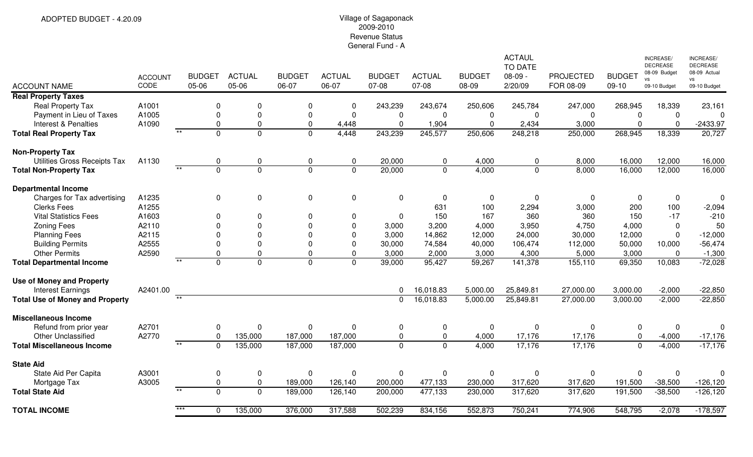# 2009-2010 Revenue StatusGeneral Fund - A

| <b>ACCOUNT NAME</b>                              | <b>ACCOUNT</b><br>CODE | 05-06 | <b>BUDGET</b>           | <b>ACTUAL</b><br>05-06        | <b>BUDGET</b><br>06-07     | <b>ACTUAL</b><br>06-07 | <b>BUDGET</b><br>07-08  | <b>ACTUAL</b><br>07-08 | <b>BUDGET</b><br>08-09        | <b>ACTAUL</b><br><b>TO DATE</b><br>$08-09 -$<br>2/20/09 | <b>PROJECTED</b><br>FOR 08-09 | <b>BUDGET</b><br>$09-10$      | <b>INCREASE</b><br><b>DECREASE</b><br>08-09 Budget<br><b>VS</b><br>09-10 Budget | <b>INCREASE/</b><br><b>DECREASE</b><br>08-09 Actual<br><b>VS</b><br>09-10 Budget |
|--------------------------------------------------|------------------------|-------|-------------------------|-------------------------------|----------------------------|------------------------|-------------------------|------------------------|-------------------------------|---------------------------------------------------------|-------------------------------|-------------------------------|---------------------------------------------------------------------------------|----------------------------------------------------------------------------------|
| <b>Real Property Taxes</b>                       |                        |       |                         |                               |                            |                        |                         |                        |                               |                                                         |                               |                               |                                                                                 |                                                                                  |
| <b>Real Property Tax</b>                         | A1001                  |       | $\Omega$                | $\Omega$                      | $\Omega$                   | 0                      | 243,239                 | 243,674                | 250,606                       | 245,784                                                 | 247,000                       | 268,945                       | 18,339                                                                          | 23,161                                                                           |
| Payment in Lieu of Taxes<br>Interest & Penalties | A1005<br>A1090         |       | $\Omega$<br>$\mathbf 0$ | $\overline{0}$<br>$\mathbf 0$ | $\mathbf 0$<br>$\mathbf 0$ | $\mathbf 0$<br>4,448   | $\mathbf 0$<br>$\Omega$ | 0<br>1,904             | $\overline{0}$<br>$\mathbf 0$ | 0<br>2,434                                              | $\mathbf 0$<br>3,000          | $\mathbf 0$<br>$\overline{0}$ | $\mathbf 0$<br>$\Omega$                                                         | $\Omega$<br>$-2433.97$                                                           |
| <b>Total Real Property Tax</b>                   |                        | $*$   | $\overline{0}$          | $\overline{0}$                | $\overline{0}$             | 4,448                  | 243,239                 | 245,577                | 250,606                       | 248,218                                                 | 250,000                       | 268,945                       | 18,339                                                                          | 20,727                                                                           |
| <b>Non-Property Tax</b>                          |                        |       |                         |                               |                            |                        |                         |                        |                               |                                                         |                               |                               |                                                                                 |                                                                                  |
| Utilities Gross Receipts Tax                     | A1130                  |       | 0                       | $\mathbf{0}$                  | $\mathbf 0$                | 0                      | 20,000                  | 0                      | 4,000                         | 0                                                       | 8,000                         | 16,000                        | 12,000                                                                          | 16,000                                                                           |
| <b>Total Non-Property Tax</b>                    |                        |       | $\mathbf 0$             | $\mathbf 0$                   | $\mathbf 0$                | $\overline{0}$         | 20,000                  | $\mathbf 0$            | 4,000                         | $\mathbf 0$                                             | 8,000                         | 16,000                        | 12,000                                                                          | 16,000                                                                           |
| <b>Departmental Income</b>                       |                        |       |                         |                               |                            |                        |                         |                        |                               |                                                         |                               |                               |                                                                                 |                                                                                  |
| Charges for Tax advertising                      | A1235                  |       | $\mathbf 0$             | $\mathbf 0$                   | $\mathbf 0$                | 0                      | $\mathbf 0$             | $\mathbf 0$            | $\mathbf 0$                   | 0                                                       | $\mathbf{0}$                  | $\Omega$                      | $\mathbf 0$                                                                     | $\mathbf 0$                                                                      |
| <b>Clerks Fees</b>                               | A1255                  |       |                         |                               |                            |                        |                         | 631                    | 100                           | 2,294                                                   | 3,000                         | 200                           | 100                                                                             | $-2,094$                                                                         |
| <b>Vital Statistics Fees</b>                     | A1603                  |       | $\Omega$                | $\Omega$                      | $\Omega$                   | $\mathbf{0}$           | $\Omega$                | 150                    | 167                           | 360                                                     | 360                           | 150                           | $-17$                                                                           | $-210$                                                                           |
| <b>Zoning Fees</b>                               | A2110                  |       | $\Omega$                | $\Omega$                      | $\Omega$                   | $\Omega$               | 3,000                   | 3,200                  | 4,000                         | 3,950                                                   | 4,750                         | 4,000                         | $\mathbf 0$                                                                     | 50                                                                               |
| <b>Planning Fees</b>                             | A2115                  |       | $\Omega$                | $\Omega$                      | $\Omega$                   | $\Omega$               | 3,000                   | 14,862                 | 12,000                        | 24,000                                                  | 30,000                        | 12,000                        | $\Omega$                                                                        | $-12,000$                                                                        |
| <b>Building Permits</b>                          | A2555                  |       |                         | $\mathbf{0}$                  | $\Omega$                   | $\Omega$               | 30,000                  | 74,584                 | 40,000                        | 106,474                                                 | 112,000                       | 50,000                        | 10,000                                                                          | $-56,474$                                                                        |
| <b>Other Permits</b>                             | A2590                  | $***$ |                         | $\mathbf 0$                   | $\Omega$                   | 0                      | 3,000                   | 2,000                  | 3,000                         | 4,300                                                   | 5,000                         | 3,000                         | $\Omega$                                                                        | $-1,300$                                                                         |
| <b>Total Departmental Income</b>                 |                        |       | $\Omega$                | $\Omega$                      | $\Omega$                   | $\Omega$               | 39,000                  | 95,427                 | 59,267                        | 141,378                                                 | 155,110                       | 69,350                        | 10,083                                                                          | $-72,028$                                                                        |
| <b>Use of Money and Property</b>                 |                        |       |                         |                               |                            |                        |                         |                        |                               |                                                         |                               |                               |                                                                                 |                                                                                  |
| <b>Interest Earnings</b>                         | A2401.00               | $*$   |                         |                               |                            |                        | 0                       | 16,018.83              | 5,000.00                      | 25,849.81                                               | 27,000.00                     | 3,000.00                      | $-2,000$                                                                        | $-22,850$                                                                        |
| <b>Total Use of Money and Property</b>           |                        |       |                         |                               |                            |                        | $\Omega$                | 16,018.83              | 5,000.00                      | 25,849.81                                               | 27,000.00                     | 3,000.00                      | $-2,000$                                                                        | $-22,850$                                                                        |
| <b>Miscellaneous Income</b>                      |                        |       |                         |                               |                            |                        |                         |                        |                               |                                                         |                               |                               |                                                                                 |                                                                                  |
| Refund from prior year                           | A2701                  |       | $\Omega$                | $\mathbf 0$                   | $\mathbf 0$                | 0                      | 0                       | 0                      | $\mathbf 0$                   | 0                                                       | $\mathbf 0$                   | 0                             | $\overline{0}$                                                                  | $\Omega$                                                                         |
| <b>Other Unclassified</b>                        | A2770                  |       | $\mathbf 0$             | 135,000                       | 187,000                    | 187,000                | $\mathbf 0$             | 0                      | 4,000                         | 17,176                                                  | 17,176                        | $\mathbf 0$                   | $-4,000$                                                                        | $-17,176$                                                                        |
| <b>Total Miscellaneous Income</b>                |                        | $*$   | $\Omega$                | 135,000                       | 187,000                    | 187,000                | $\mathbf 0$             | $\mathbf 0$            | 4,000                         | 17,176                                                  | 17,176                        | $\overline{0}$                | $-4,000$                                                                        | $-17,176$                                                                        |
| <b>State Aid</b>                                 |                        |       |                         |                               |                            |                        |                         |                        |                               |                                                         |                               |                               |                                                                                 |                                                                                  |
| State Aid Per Capita                             | A3001                  |       | $\Omega$                | $\pmb{0}$                     | $\mathbf 0$                | 0                      | 0                       | $\mathbf 0$            | $\mathbf 0$                   | 0                                                       | 0                             | $\mathbf 0$                   | $\mathbf 0$                                                                     | $\Omega$                                                                         |
| Mortgage Tax                                     | A3005                  |       | $\mathbf 0$             | $\mathbf 0$                   | 189,000                    | 126,140                | 200,000                 | 477,133                | 230,000                       | 317,620                                                 | 317,620                       | 191,500                       | $-38,500$                                                                       | $-126, 120$                                                                      |
| <b>Total State Aid</b>                           |                        | $*$   | $\Omega$                | $\mathbf 0$                   | 189,000                    | 126,140                | 200,000                 | 477,133                | 230,000                       | 317,620                                                 | 317,620                       | 191,500                       | $-38,500$                                                                       | $-126, 120$                                                                      |
| <b>TOTAL INCOME</b>                              |                        |       | $\Omega$                | 135,000                       | 376,000                    | 317,588                | 502,239                 | 834,156                | 552,873                       | 750,241                                                 | 774,906                       | 548,795                       | $-2,078$                                                                        | $-178,597$                                                                       |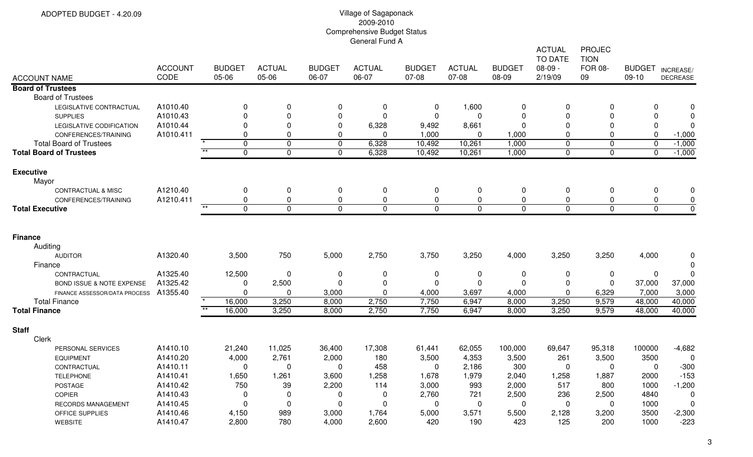| <b>ACCOUNT NAME</b>                                   | <b>ACCOUNT</b><br>CODE | <b>BUDGET</b><br>05-06 | <b>ACTUAL</b><br>05-06 | <b>BUDGET</b><br>06-07 | <b>ACTUAL</b><br>06-07 | <b>BUDGET</b><br>07-08 | <b>ACTUAL</b><br>07-08  | <b>BUDGET</b><br>08-09 | <b>ACTUAL</b><br><b>TO DATE</b><br>$08-09 -$<br>2/19/09 | <b>PROJEC</b><br><b>TION</b><br><b>FOR 08-</b><br>09 | <b>BUDGET</b><br>09-10 | INCREASE/<br><b>DECREASE</b> |
|-------------------------------------------------------|------------------------|------------------------|------------------------|------------------------|------------------------|------------------------|-------------------------|------------------------|---------------------------------------------------------|------------------------------------------------------|------------------------|------------------------------|
| <b>Board of Trustees</b>                              |                        |                        |                        |                        |                        |                        |                         |                        |                                                         |                                                      |                        |                              |
| <b>Board of Trustees</b>                              |                        |                        |                        |                        |                        |                        |                         |                        |                                                         |                                                      |                        |                              |
| LEGISLATIVE CONTRACTUAL                               | A1010.40               | $\Omega$               | 0                      | 0                      | 0                      | 0                      | 1,600                   | 0                      | $\Omega$                                                | $\Omega$                                             | 0                      | $\Omega$                     |
| <b>SUPPLIES</b>                                       | A1010.43               | $\Omega$               | 0                      | $\mathbf 0$            | $\Omega$               | $\mathbf 0$            | $\mathbf{0}$            | 0                      | $\Omega$                                                | $\Omega$                                             | 0                      | $\Omega$                     |
| LEGISLATIVE CODIFICATION                              | A1010.44               | $\Omega$               | 0                      | $\mathbf 0$            | 6,328                  | 9,492                  | 8,661                   | $\Omega$               | $\Omega$                                                | $\Omega$                                             | $\mathbf 0$            | 0                            |
| CONFERENCES/TRAINING                                  | A1010.411              | $\Omega$               | 0                      | $\mathbf 0$            | $\Omega$               | 1,000                  | $\mathbf{0}$            | 1,000                  | $\Omega$                                                | $\Omega$                                             | $\mathbf 0$            | $-1,000$                     |
| <b>Total Board of Trustees</b>                        |                        | $\star$<br>$\mathbf 0$ | $\mathbf 0$            | $\mathbf 0$            | 6,328                  | 10,492                 | 10,261                  | 1,000                  | $\mathbf 0$                                             | $\overline{0}$                                       | $\mathbf 0$            | $-1,000$                     |
| <b>Total Board of Trustees</b>                        |                        | $***$<br>$\mathbf{0}$  | $\mathbf 0$            | $\mathbf 0$            | 6,328                  | 10,492                 | 10,261                  | 1,000                  | $\Omega$                                                | $\overline{0}$                                       | $\Omega$               | $-1,000$                     |
| <b>Executive</b><br>Mayor                             |                        |                        |                        |                        |                        |                        |                         |                        |                                                         |                                                      |                        |                              |
| <b>CONTRACTUAL &amp; MISC</b>                         | A1210.40               | 0                      | 0                      | 0                      | 0                      | 0                      | 0                       | 0                      | $\mathbf 0$                                             | $\pmb{0}$                                            | 0                      | $\mathbf 0$                  |
| CONFERENCES/TRAINING                                  | A1210.411              | 0                      | 0                      | $\mathbf 0$            | $\mathbf 0$            | $\mathbf 0$            | $\mathbf 0$             | 0                      | $\mathbf 0$                                             | $\mathbf 0$                                          | $\pmb{0}$              | $\pmb{0}$                    |
| <b>Total Executive</b>                                |                        | $\mathbf 0$            | $\Omega$               | $\Omega$               | $\Omega$               | $\Omega$               | $\Omega$                | 0                      | $\Omega$                                                | $\mathbf 0$                                          | $\mathbf 0$            | $\mathbf 0$                  |
| <b>Finance</b><br>Auditing                            |                        |                        |                        |                        |                        |                        |                         |                        |                                                         |                                                      |                        |                              |
| <b>AUDITOR</b>                                        | A1320.40               | 3,500                  | 750                    | 5,000                  | 2,750                  | 3,750                  | 3,250                   | 4,000                  | 3,250                                                   | 3,250                                                | 4,000                  | $\mathbf 0$                  |
| Finance                                               | A1325.40               |                        |                        |                        |                        |                        |                         |                        |                                                         |                                                      |                        | $\Omega$<br>$\mathbf 0$      |
| CONTRACTUAL                                           | A1325.42               | 12,500                 | $\mathbf 0$            | 0                      | 0<br>$\Omega$          | 0                      | $\mathbf 0$<br>$\Omega$ | 0<br>$\Omega$          | $\mathbf 0$                                             | 0<br>$\Omega$                                        | $\mathbf 0$            |                              |
| BOND ISSUE & NOTE EXPENSE                             | A1355.40               | $\Omega$<br>$\Omega$   | 2,500<br>0             | 0<br>3,000             | $\mathbf{0}$           | 0<br>4,000             | 3,697                   | 4,000                  | 0<br>$\Omega$                                           | 6,329                                                | 37,000<br>7,000        | 37,000<br>3,000              |
| FINANCE ASSESSOR/DATA PROCESS<br><b>Total Finance</b> |                        | 16,000                 | 3,250                  | 8,000                  | 2,750                  | 7,750                  | 6,947                   | 8,000                  | 3,250                                                   | 9,579                                                | 48,000                 | 40,000                       |
| <b>Total Finance</b>                                  |                        | $***$<br>16,000        | 3,250                  | 8,000                  | 2,750                  | 7,750                  | 6,947                   | 8,000                  | 3,250                                                   | 9,579                                                | 48,000                 | 40,000                       |
| <b>Staff</b><br>Clerk                                 |                        |                        |                        |                        |                        |                        |                         |                        |                                                         |                                                      |                        |                              |
| PERSONAL SERVICES                                     | A1410.10               | 21,240                 | 11,025                 | 36,400                 | 17,308                 | 61,441                 | 62,055                  | 100,000                | 69,647                                                  | 95,318                                               | 100000                 | $-4,682$                     |
| <b>EQUIPMENT</b>                                      | A1410.20               | 4,000                  | 2,761                  | 2,000                  | 180                    | 3,500                  | 4,353                   | 3,500                  | 261                                                     | 3,500                                                | 3500                   | $\Omega$                     |
| CONTRACTUAL                                           | A1410.11               | $\mathbf 0$            | 0                      | $\mathbf 0$            | 458                    | $\mathbf 0$            | 2,186                   | 300                    | 0                                                       | $\Omega$                                             | $\mathbf 0$            | $-300$                       |
| <b>TELEPHONE</b>                                      | A1410.41               | 1,650                  | 1,261                  | 3,600                  | 1,258                  | 1,678                  | 1,979                   | 2,040                  | 1,258                                                   | 1,887                                                | 2000                   | $-153$                       |
| POSTAGE                                               | A1410.42               | 750                    | 39                     | 2,200                  | 114                    | 3,000                  | 993                     | 2,000                  | 517                                                     | 800                                                  | 1000                   | $-1,200$                     |
| <b>COPIER</b>                                         | A1410.43               | $\mathbf 0$            | $\mathbf 0$            | 0                      | 0                      | 2,760                  | 721                     | 2,500                  | 236                                                     | 2,500                                                | 4840                   | $\pmb{0}$                    |
| RECORDS MANAGEMENT                                    | A1410.45               | $\mathbf 0$            | $\mathbf 0$            | $\mathbf 0$            | $\mathbf 0$            | $\mathbf 0$            | $\mathbf 0$             | $\mathbf 0$            | $\mathbf 0$                                             | 0                                                    | 1000                   | $\mathbf 0$                  |
| OFFICE SUPPLIES                                       | A1410.46               | 4,150                  | 989                    | 3,000                  | 1,764                  | 5,000                  | 3,571                   | 5,500                  | 2,128                                                   | 3,200                                                | 3500                   | $-2,300$                     |
| <b>WEBSITE</b>                                        | A1410.47               | 2,800                  | 780                    | 4,000                  | 2,600                  | 420                    | 190                     | 423                    | 125                                                     | 200                                                  | 1000                   | $-223$                       |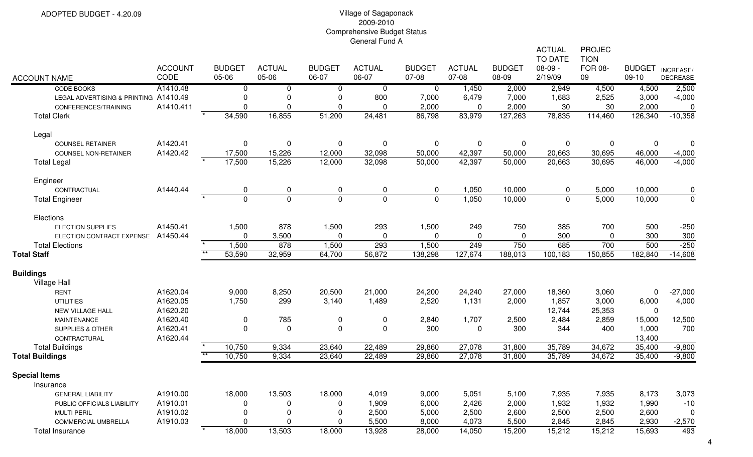| <b>ACCOUNT NAME</b>                   | <b>ACCOUNT</b><br>CODE | <b>BUDGET</b><br>05-06 | <b>ACTUAL</b><br>05-06 | <b>BUDGET</b><br>06-07 | <b>ACTUAL</b><br>06-07 | <b>BUDGET</b><br>07-08 | <b>ACTUAL</b><br>07-08 | <b>BUDGET</b><br>08-09 | <b>ACTUAL</b><br><b>TO DATE</b><br>$08-09 -$<br>2/19/09 | PROJEC<br><b>TION</b><br><b>FOR 08-</b><br>09 | <b>BUDGET</b><br>$09-10$ | INCREASE/<br><b>DECREASE</b> |
|---------------------------------------|------------------------|------------------------|------------------------|------------------------|------------------------|------------------------|------------------------|------------------------|---------------------------------------------------------|-----------------------------------------------|--------------------------|------------------------------|
| CODE BOOKS                            | A1410.48               | 0                      | 0                      | 0                      | 0                      | $\mathbf 0$            | 1,450                  | 2,000                  | 2,949                                                   | 4,500                                         | 4,500                    | 2,500                        |
| LEGAL ADVERTISING & PRINTING A1410.49 |                        | $\mathbf 0$            | 0                      | $\mathbf 0$            | 800                    | 7,000                  | 6,479                  | 7,000                  | 1,683                                                   | 2,525                                         | 3,000                    | $-4,000$                     |
| CONFERENCES/TRAINING                  | A1410.411              | $\Omega$               | $\Omega$               | $\Omega$               | $\Omega$               | 2,000                  | $\mathbf 0$            | 2,000                  | 30                                                      | 30                                            | 2,000                    | 0                            |
| <b>Total Clerk</b>                    |                        | 34,590                 | 16,855                 | 51,200                 | 24,481                 | 86,798                 | 83,979                 | 127,263                | 78,835                                                  | 114,460                                       | 126,340                  | $-10,358$                    |
| Legal                                 |                        |                        |                        |                        |                        |                        |                        |                        |                                                         |                                               |                          |                              |
| <b>COUNSEL RETAINER</b>               | A1420.41               | $\mathbf 0$            | 0                      | $\pmb{0}$              | $\mathbf 0$            | 0                      | $\mathbf 0$            | $\mathbf 0$            | $\mathbf 0$                                             | 0                                             | 0                        | $\mathbf 0$                  |
| <b>COUNSEL NON-RETAINER</b>           | A1420.42               | 17,500                 | 15,226                 | 12,000                 | 32,098                 | 50,000                 | 42,397                 | 50,000                 | 20,663                                                  | 30,695                                        | 46,000                   | $-4,000$                     |
| <b>Total Legal</b>                    |                        | 17,500                 | 15,226                 | 12,000                 | 32,098                 | 50,000                 | 42,397                 | 50,000                 | 20,663                                                  | 30,695                                        | 46,000                   | $-4,000$                     |
| Engineer                              |                        |                        |                        |                        |                        |                        |                        |                        |                                                         |                                               |                          |                              |
| CONTRACTUAL                           | A1440.44               | 0                      | $\pmb{0}$              | 0                      | 0                      | 0                      | 1,050                  | 10,000                 | 0                                                       | 5,000                                         | 10,000                   | 0                            |
| <b>Total Engineer</b>                 |                        | $\Omega$               | $\mathbf 0$            | $\overline{0}$         | $\mathbf 0$            | $\overline{0}$         | 1,050                  | 10,000                 | $\mathbf 0$                                             | 5,000                                         | 10,000                   | $\overline{0}$               |
| Elections                             |                        |                        |                        |                        |                        |                        |                        |                        |                                                         |                                               |                          |                              |
| <b>ELECTION SUPPLIES</b>              | A1450.41               | 1,500                  | 878                    | 1,500                  | 293                    | 1,500                  | 249                    | 750                    | 385                                                     | 700                                           | 500                      | $-250$                       |
| ELECTION CONTRACT EXPENSE             | A1450.44               | $\Omega$               | 3,500                  | $\Omega$               | $\mathbf 0$            | $\Omega$               | $\mathbf 0$            | 0                      | 300                                                     | 0                                             | 300                      | 300                          |
| <b>Total Elections</b>                |                        | 1,500                  | 878                    | 1,500                  | 293                    | 1,500                  | 249                    | 750                    | 685                                                     | 700                                           | 500                      | $-250$                       |
| <b>Total Staff</b>                    |                        | $**$<br>53,590         | 32,959                 | 64,700                 | 56,872                 | 138,298                | 127,674                | 188,013                | 100,183                                                 | 150,855                                       | 182,840                  | $-14,608$                    |
| <b>Buildings</b>                      |                        |                        |                        |                        |                        |                        |                        |                        |                                                         |                                               |                          |                              |
| <b>Village Hall</b>                   |                        |                        |                        |                        |                        |                        |                        |                        |                                                         |                                               |                          |                              |
| <b>RENT</b>                           | A1620.04               | 9,000                  | 8,250                  | 20,500                 | 21,000                 | 24,200                 | 24,240                 | 27,000                 | 18,360                                                  | 3,060                                         | $\pmb{0}$                | $-27,000$                    |
| <b>UTILITIES</b>                      | A1620.05               | 1,750                  | 299                    | 3,140                  | 1,489                  | 2,520                  | 1,131                  | 2,000                  | 1,857                                                   | 3,000                                         | 6,000                    | 4,000                        |
| NEW VILLAGE HALL                      | A1620.20               |                        |                        |                        |                        |                        |                        |                        | 12,744                                                  | 25,353                                        | $\mathbf 0$              |                              |
| <b>MAINTENANCE</b>                    | A1620.40               | $\mathbf 0$            | 785                    | $\pmb{0}$              | 0                      | 2,840                  | 1,707                  | 2,500                  | 2,484                                                   | 2,859                                         | 15,000                   | 12,500                       |
| <b>SUPPLIES &amp; OTHER</b>           | A1620.41               | $\mathbf 0$            | 0                      | $\pmb{0}$              | $\mathbf 0$            | 300                    | 0                      | 300                    | 344                                                     | 400                                           | 1,000                    | 700                          |
| CONTRACTURAL                          | A1620.44               |                        |                        |                        |                        |                        |                        |                        |                                                         |                                               | 13,400                   |                              |
| <b>Total Buildings</b>                |                        | 10,750                 | 9,334                  | 23,640                 | 22,489                 | 29,860                 | 27,078                 | 31,800                 | 35,789                                                  | 34,672                                        | 35,400                   | $-9,800$                     |
| <b>Total Buildings</b>                |                        | $\star\star$<br>10,750 | 9,334                  | 23,640                 | 22,489                 | 29,860                 | 27,078                 | 31,800                 | 35,789                                                  | 34,672                                        | 35,400                   | $-9,800$                     |
| <b>Special Items</b>                  |                        |                        |                        |                        |                        |                        |                        |                        |                                                         |                                               |                          |                              |
| Insurance                             |                        |                        |                        |                        |                        |                        |                        |                        |                                                         |                                               |                          |                              |
| <b>GENERAL LIABILITY</b>              | A1910.00               | 18,000                 | 13,503                 | 18,000                 | 4,019                  | 9,000                  | 5,051                  | 5,100                  | 7,935                                                   | 7,935                                         | 8,173                    | 3,073                        |
| PUBLIC OFFICIALS LIABILITY            | A1910.01               | 0                      | 0                      | $\Omega$               | 1,909                  | 6,000                  | 2,426                  | 2,000                  | 1,932                                                   | 1,932                                         | 1,990                    | $-10$                        |
| <b>MULTI PERIL</b>                    | A1910.02               | 0                      | 0                      | 0                      | 2,500                  | 5,000                  | 2,500                  | 2,600                  | 2,500                                                   | 2,500                                         | 2,600                    | 0                            |
| <b>COMMERCIAL UMBRELLA</b>            | A1910.03               | $\Omega$               | 0                      | $\Omega$               | 5,500                  | 8,000                  | 4,073                  | 5,500                  | 2,845                                                   | 2,845                                         | 2,930                    | $-2,570$                     |
| <b>Total Insurance</b>                |                        | 18,000                 | 13,503                 | 18,000                 | 13,928                 | 28,000                 | 14,050                 | 15,200                 | 15,212                                                  | 15,212                                        | 15,693                   | 493                          |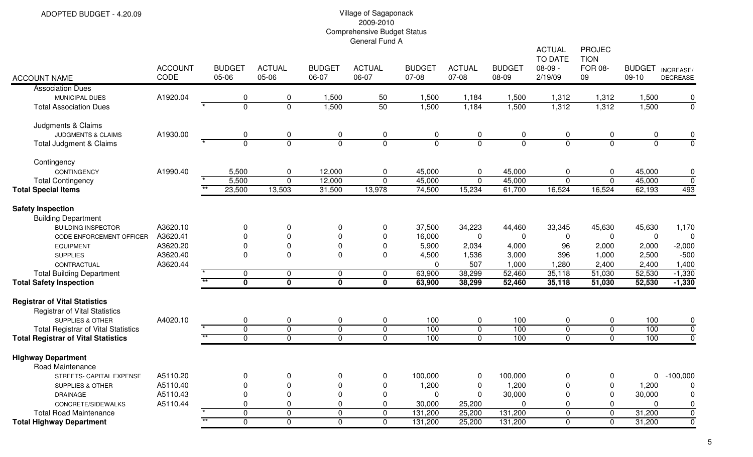| <b>ACCOUNT NAME</b>                                                                      | <b>ACCOUNT</b><br>CODE | <b>BUDGET</b><br>05-06         | <b>ACTUAL</b><br>05-06  | <b>BUDGET</b><br>06-07  | <b>ACTUAL</b><br>06-07        | <b>BUDGET</b><br>07-08 | <b>ACTUAL</b><br>07-08        | <b>BUDGET</b><br>08-09 | <b>ACTUAL</b><br><b>TO DATE</b><br>$08-09 -$<br>2/19/09 | <b>PROJEC</b><br><b>TION</b><br><b>FOR 08-</b><br>09 | <b>BUDGET</b><br>$09-10$ | INCREASE/<br><b>DECREASE</b> |
|------------------------------------------------------------------------------------------|------------------------|--------------------------------|-------------------------|-------------------------|-------------------------------|------------------------|-------------------------------|------------------------|---------------------------------------------------------|------------------------------------------------------|--------------------------|------------------------------|
| <b>Association Dues</b>                                                                  |                        |                                |                         |                         |                               |                        |                               |                        |                                                         |                                                      |                          |                              |
| MUNICIPAL DUES                                                                           | A1920.04               | 0                              | 0                       | 1,500                   | 50                            | 1,500                  | 1,184                         | 1,500                  | 1,312                                                   | 1,312                                                | 1,500                    | 0                            |
| <b>Total Association Dues</b>                                                            |                        | $\Omega$                       | $\overline{0}$          | 1,500                   | 50                            | 1,500                  | 1,184                         | 1,500                  | 1,312                                                   | 1,312                                                | 1,500                    | $\overline{0}$               |
| Judgments & Claims                                                                       |                        |                                |                         |                         |                               |                        |                               |                        |                                                         |                                                      |                          |                              |
| JUDGMENTS & CLAIMS                                                                       | A1930.00               | 0                              | 0                       | 0                       | $\mathbf 0$                   | 0                      | $\mathbf 0$                   | 0                      | 0                                                       | 0                                                    | 0                        | 0                            |
| Total Judgment & Claims                                                                  |                        | $\Omega$                       | $\mathbf 0$             | $\overline{0}$          | $\overline{0}$                | $\mathbf{0}$           | $\overline{0}$                | $\Omega$               | $\mathbf{0}$                                            | $\mathbf 0$                                          | $\mathbf 0$              | $\overline{0}$               |
| Contingency                                                                              |                        |                                |                         |                         |                               |                        |                               |                        |                                                         |                                                      |                          |                              |
| CONTINGENCY                                                                              | A1990.40               | 5,500                          | $\mathbf 0$             | 12,000                  | $\mathbf 0$                   | 45,000                 | $\mathbf 0$                   | 45,000                 | 0                                                       | 0                                                    | 45,000                   | 0                            |
| <b>Total Contingency</b>                                                                 |                        | 5,500                          | $\mathbf 0$             | 12,000                  | $\mathbf 0$                   | 45,000                 | $\mathbf 0$                   | 45,000                 | $\mathbf{0}$                                            | $\mathbf 0$                                          | 45,000                   | $\mathbf 0$                  |
| <b>Total Special Items</b>                                                               |                        | $\star\star$<br>23,500         | 13,503                  | 31,500                  | 13,978                        | 74,500                 | 15,234                        | 61,700                 | 16,524                                                  | 16,524                                               | 62,193                   | 493                          |
| <b>Safety Inspection</b><br><b>Building Department</b>                                   |                        |                                |                         |                         |                               |                        |                               |                        |                                                         |                                                      |                          |                              |
| <b>BUILDING INSPECTOR</b>                                                                | A3620.10               | 0                              | 0                       | $\pmb{0}$               | $\mathbf 0$                   | 37,500                 | 34,223                        | 44,460                 | 33,345                                                  | 45,630                                               | 45,630                   | 1,170                        |
| CODE ENFORCEMENT OFFICER                                                                 | A3620.41               | $\mathbf 0$                    | 0                       | $\mathbf 0$             | $\mathbf 0$                   | 16,000                 | $\mathbf 0$                   | $\mathbf 0$            | $\mathbf 0$                                             | 0                                                    | $\mathbf 0$              | 0                            |
| <b>EQUIPMENT</b>                                                                         | A3620.20               | $\mathbf 0$                    | $\pmb{0}$               | $\pmb{0}$               | $\mathbf 0$                   | 5,900                  | 2,034                         | 4,000                  | 96                                                      | 2,000                                                | 2,000                    | $-2,000$                     |
| <b>SUPPLIES</b>                                                                          | A3620.40               | $\mathbf 0$                    | 0                       | $\mathbf 0$             | $\mathbf{0}$                  | 4,500                  | 1,536                         | 3,000                  | 396                                                     | 1,000                                                | 2,500                    | $-500$                       |
| CONTRACTUAL                                                                              | A3620.44               |                                |                         |                         |                               | 0                      | 507                           | 1,000                  | 1,280                                                   | 2,400                                                | 2,400                    | 1,400                        |
| <b>Total Building Department</b>                                                         |                        | $\mathbf 0$                    | $\pmb{0}$               | $\pmb{0}$               | $\mathbf 0$                   | 63,900                 | 38,299                        | 52,460                 | 35,118                                                  | 51,030                                               | 52,530                   | $-1,330$                     |
| <b>Total Safety Inspection</b>                                                           |                        | $\star\star$<br>$\mathbf{0}$   | $\overline{\mathbf{0}}$ | $\overline{\mathbf{0}}$ | $\mathbf{0}$                  | 63,900                 | 38,299                        | 52,460                 | 35,118                                                  | 51,030                                               | 52,530                   | $-1,330$                     |
| <b>Registrar of Vital Statistics</b><br><b>Registrar of Vital Statistics</b>             |                        |                                |                         |                         |                               |                        |                               |                        |                                                         |                                                      |                          |                              |
| <b>SUPPLIES &amp; OTHER</b>                                                              | A4020.10               | 0<br>$\overline{0}$            | 0<br>$\overline{0}$     | 0<br>$\overline{0}$     | $\mathbf 0$<br>$\overline{0}$ | 100<br>100             | $\mathbf 0$<br>$\overline{0}$ | 100<br>100             | 0<br>$\mathbf 0$                                        | 0                                                    | 100<br>100               | 0<br>$\overline{0}$          |
| <b>Total Registrar of Vital Statistics</b><br><b>Total Registrar of Vital Statistics</b> |                        | $**$<br>$\mathbf 0$            | $\mathbf 0$             | $\overline{0}$          | $\overline{0}$                | 100                    | $\overline{0}$                | 100                    | $\mathbf 0$                                             | $\pmb{0}$<br>$\mathbf 0$                             | 100                      | $\mathbf 0$                  |
|                                                                                          |                        |                                |                         |                         |                               |                        |                               |                        |                                                         |                                                      |                          |                              |
| <b>Highway Department</b><br>Road Maintenance                                            |                        |                                |                         |                         |                               |                        |                               |                        |                                                         |                                                      |                          |                              |
| STREETS- CAPITAL EXPENSE                                                                 | A5110.20               | 0                              | 0                       | $\mathbf 0$             | 0                             | 100,000                | $\mathbf 0$                   | 100,000                | 0                                                       | 0                                                    | $\mathbf 0$              | $-100,000$                   |
| <b>SUPPLIES &amp; OTHER</b>                                                              | A5110.40               | $\Omega$                       | 0                       | $\overline{0}$          | 0                             | 1,200                  | 0                             | 1,200                  | $\mathbf 0$                                             | 0                                                    | 1,200                    | 0                            |
| DRAINAGE                                                                                 | A5110.43               | $\mathbf 0$                    | 0                       | $\mathbf 0$             | $\mathbf 0$                   | 0                      | $\mathbf 0$                   | 30,000                 | 0                                                       | 0                                                    | 30,000                   | 0                            |
| CONCRETE/SIDEWALKS                                                                       | A5110.44               | $\mathbf 0$                    | $\mathbf 0$             | $\mathbf 0$             | $\mathbf 0$                   | 30,000                 | 25,200                        | $\mathbf 0$            | 0                                                       | 0                                                    | $\mathbf 0$              | 0                            |
| <b>Total Road Maintenance</b>                                                            |                        | $\mathbf 0$<br>$\overline{**}$ | 0                       | $\mathbf 0$             | $\mathbf 0$                   | 131,200                | 25,200                        | 131,200                | $\mathbf{0}$                                            | 0                                                    | 31,200                   | $\mathsf 0$                  |
| <b>Total Highway Department</b>                                                          |                        | $\overline{0}$                 | $\overline{0}$          | $\overline{0}$          | $\overline{0}$                | 131,200                | 25,200                        | 131,200                | $\overline{0}$                                          | $\overline{0}$                                       | 31,200                   | $\overline{0}$               |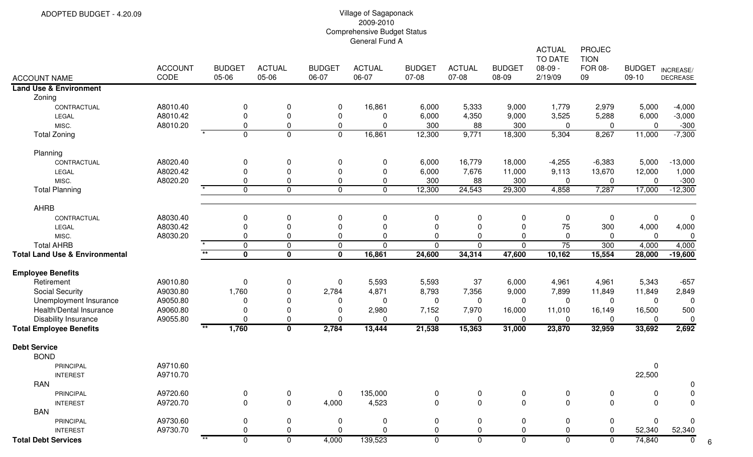|                                           |                |                           |                         |               |               |               |                |               | <b>ACTUAL</b><br>TO DATE | <b>PROJEC</b><br><b>TION</b> |                     |                 |
|-------------------------------------------|----------------|---------------------------|-------------------------|---------------|---------------|---------------|----------------|---------------|--------------------------|------------------------------|---------------------|-----------------|
|                                           | <b>ACCOUNT</b> | <b>BUDGET</b>             | <b>ACTUAL</b>           | <b>BUDGET</b> | <b>ACTUAL</b> | <b>BUDGET</b> | <b>ACTUAL</b>  | <b>BUDGET</b> | $08-09 -$                | <b>FOR 08-</b>               | <b>BUDGET</b>       | INCREASE/       |
| <b>ACCOUNT NAME</b>                       | CODE           | 05-06                     | 05-06                   | 06-07         | 06-07         | 07-08         | 07-08          | 08-09         | 2/19/09                  | 09                           | $09-10$             | <b>DECREASE</b> |
| <b>Land Use &amp; Environment</b>         |                |                           |                         |               |               |               |                |               |                          |                              |                     |                 |
| Zoning                                    |                |                           |                         |               |               |               |                |               |                          |                              |                     |                 |
| CONTRACTUAL                               | A8010.40       | 0                         | 0                       | 0             | 16,861        | 6,000         | 5,333          | 9,000         | 1,779                    | 2,979                        | 5,000               | $-4,000$        |
| LEGAL                                     | A8010.42       | 0                         | $\pmb{0}$               | 0             | 0             | 6,000         | 4,350          | 9,000         | 3,525                    | 5,288                        | 6,000               | $-3,000$        |
| MISC.                                     | A8010.20       | 0                         | 0                       | 0             | $\Omega$      | 300           | 88             | 300           | 0                        | 0                            | $\mathbf 0$         | $-300$          |
| <b>Total Zoning</b>                       |                | 0                         | $\overline{0}$          | 0             | 16,861        | 12,300        | 9,771          | 18,300        | 5,304                    | 8,267                        | 11,000              | $-7,300$        |
| Planning                                  |                |                           |                         |               |               |               |                |               |                          |                              |                     |                 |
| CONTRACTUAL                               | A8020.40       | 0                         | 0                       | 0             | 0             | 6,000         | 16,779         | 18,000        | $-4,255$                 | $-6,383$                     | 5,000               | $-13,000$       |
| LEGAL                                     | A8020.42       | 0                         | 0                       | 0             | $\mathbf{0}$  | 6,000         | 7,676          | 11,000        | 9,113                    | 13,670                       | 12,000              | 1,000           |
| MISC.                                     | A8020.20       | 0                         | 0                       | 0             | 0             | 300           | 88             | 300           | $\Omega$                 | 0                            | $\mathbf 0$         | $-300$          |
| <b>Total Planning</b>                     |                | $\star$<br>$\mathbf 0$    | $\overline{0}$          | 0             | $\mathbf 0$   | 12,300        | 24,543         | 29,300        | 4,858                    | 7,287                        | 17,000              | $-12,300$       |
| <b>AHRB</b>                               |                |                           |                         |               |               |               |                |               |                          |                              |                     |                 |
| CONTRACTUAL                               | A8030.40       | 0                         | 0                       | 0             | 0             | 0             | 0              | 0             | $\mathbf 0$              | 0                            | $\mathbf 0$         | $\mathbf 0$     |
| LEGAL                                     | A8030.42       | $\Omega$                  | 0                       | $\Omega$      | $\Omega$      | $\mathbf 0$   | $\mathbf{0}$   |               | 75                       | 300                          | 4,000               | 4,000           |
| MISC.                                     | A8030.20       | 0                         | 0                       | 0             | $\Omega$      | 0             | $\Omega$       | 0             | $\pmb{0}$                | 0                            | $\mathbf 0$         | 0               |
| <b>Total AHRB</b>                         |                | $\mathbf 0$               | $\mathbf 0$             | 0             | $\Omega$      | $\mathbf 0$   | $\overline{0}$ | $\mathbf 0$   | $\overline{75}$          | 300                          | 4,000               | 4,000           |
| <b>Total Land Use &amp; Environmental</b> |                | $\ast\ast$<br>$\mathbf 0$ | $\mathbf 0$             | $\mathbf 0$   | 16,861        | 24,600        | 34,314         | 47,600        | 10,162                   | 15,554                       | 28,000              | $-19,600$       |
| <b>Employee Benefits</b>                  |                |                           |                         |               |               |               |                |               |                          |                              |                     |                 |
| Retirement                                | A9010.80       | 0                         | 0                       | 0             | 5,593         | 5,593         | 37             | 6,000         | 4,961                    | 4,961                        | 5,343               | $-657$          |
| <b>Social Security</b>                    | A9030.80       | 1,760                     | 0                       | 2,784         | 4,871         | 8,793         | 7,356          | 9,000         | 7,899                    | 11,849                       | 11,849              | 2,849           |
| Unemployment Insurance                    | A9050.80       | 0                         | 0                       | 0             | 0             | 0             | 0              | $\mathbf 0$   | 0                        | $\mathbf 0$                  | $\mathbf 0$         | $\overline{0}$  |
| Health/Dental Insurance                   | A9060.80       | 0                         | 0                       | 0             | 2,980         | 7,152         | 7,970          | 16,000        | 11,010                   | 16,149                       | 16,500              | 500             |
| <b>Disability Insurance</b>               | A9055.80       | $\Omega$                  | 0                       | $\mathbf 0$   | $\Omega$      | 0             | 0              | $\mathbf{0}$  | 0                        | $\mathbf 0$                  | $\mathbf 0$         | $\mathbf 0$     |
| <b>Total Employee Benefits</b>            |                | $***$<br>1,760            | $\overline{\mathbf{0}}$ | 2,784         | 13,444        | 21,538        | 15,363         | 31,000        | 23,870                   | 32,959                       | 33,692              | 2,692           |
| <b>Debt Service</b>                       |                |                           |                         |               |               |               |                |               |                          |                              |                     |                 |
| <b>BOND</b>                               |                |                           |                         |               |               |               |                |               |                          |                              |                     |                 |
| PRINCIPAL                                 | A9710.60       |                           |                         |               |               |               |                |               |                          |                              | 0                   |                 |
| <b>INTEREST</b>                           | A9710.70       |                           |                         |               |               |               |                |               |                          |                              | 22,500              |                 |
| RAN                                       |                |                           |                         |               |               |               |                |               |                          |                              |                     |                 |
| PRINCIPAL                                 | A9720.60       | 0                         | 0                       | 0             | 135,000       | 0             | 0              |               | 0                        | 0                            | 0                   |                 |
| <b>INTEREST</b>                           | A9720.70       | 0                         | 0                       | 4,000         | 4,523         | $\mathbf 0$   | $\mathbf 0$    | $\mathbf 0$   | $\Omega$                 | $\mathbf 0$                  | $\mathbf 0$         |                 |
| <b>BAN</b>                                |                |                           |                         |               |               |               |                |               |                          |                              |                     |                 |
| <b>PRINCIPAL</b>                          | A9730.60       | 0                         | 0                       | 0             | 0             | 0             | 0              | 0             | 0                        | 0                            | $\mathbf 0$         | 0               |
| <b>INTEREST</b>                           | A9730.70       |                           | 0                       | 0             | ∩             | 0             | $\Omega$       | 0             |                          |                              | 52,340              | 52,340          |
| <b>Total Debt Services</b>                |                | $***$<br>0                | 0                       | 4,000         | 139,523       | 0             | 0              | 0             | 0                        | $\mathbf{0}$                 | $\overline{74,840}$ | 0               |

6